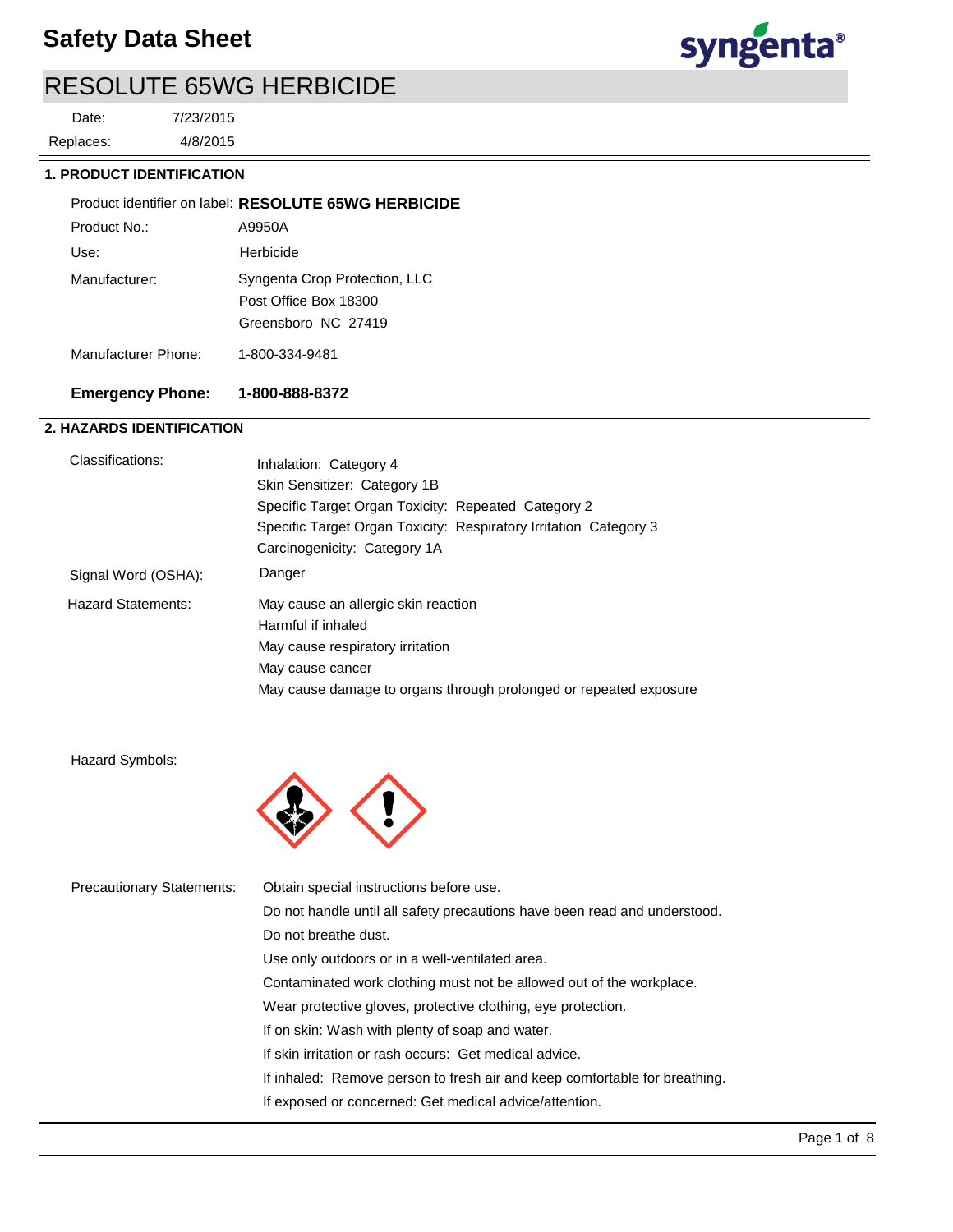

4/8/2015 7/23/2015 Replaces: Date:

### **1. PRODUCT IDENTIFICATION**

|                     | Product identifier on label: RESOLUTE 65WG HERBICIDE                          |
|---------------------|-------------------------------------------------------------------------------|
| Product No.:        | A9950A                                                                        |
| Use:                | Herbicide                                                                     |
| Manufacturer:       | Syngenta Crop Protection, LLC<br>Post Office Box 18300<br>Greensboro NC 27419 |
| Manufacturer Phone: | 1-800-334-9481                                                                |

### **Emergency Phone: 1-800-888-8372**

### **2. HAZARDS IDENTIFICATION**

| Classifications:          | Inhalation: Category 4                                            |
|---------------------------|-------------------------------------------------------------------|
|                           | Skin Sensitizer: Category 1B                                      |
|                           | Specific Target Organ Toxicity: Repeated Category 2               |
|                           | Specific Target Organ Toxicity: Respiratory Irritation Category 3 |
|                           | Carcinogenicity: Category 1A                                      |
| Signal Word (OSHA):       | Danger                                                            |
| <b>Hazard Statements:</b> | May cause an allergic skin reaction                               |
|                           | Harmful if inhaled                                                |
|                           | May cause respiratory irritation                                  |
|                           | May cause cancer                                                  |
|                           | May cause damage to organs through prolonged or repeated exposure |

Hazard Symbols:



| Obtain special instructions before use.                                    |
|----------------------------------------------------------------------------|
| Do not handle until all safety precautions have been read and understood.  |
| Do not breathe dust.                                                       |
| Use only outdoors or in a well-ventilated area.                            |
| Contaminated work clothing must not be allowed out of the workplace.       |
| Wear protective gloves, protective clothing, eye protection.               |
| If on skin: Wash with plenty of soap and water.                            |
| If skin irritation or rash occurs: Get medical advice.                     |
| If inhaled: Remove person to fresh air and keep comfortable for breathing. |
| If exposed or concerned: Get medical advice/attention.                     |
|                                                                            |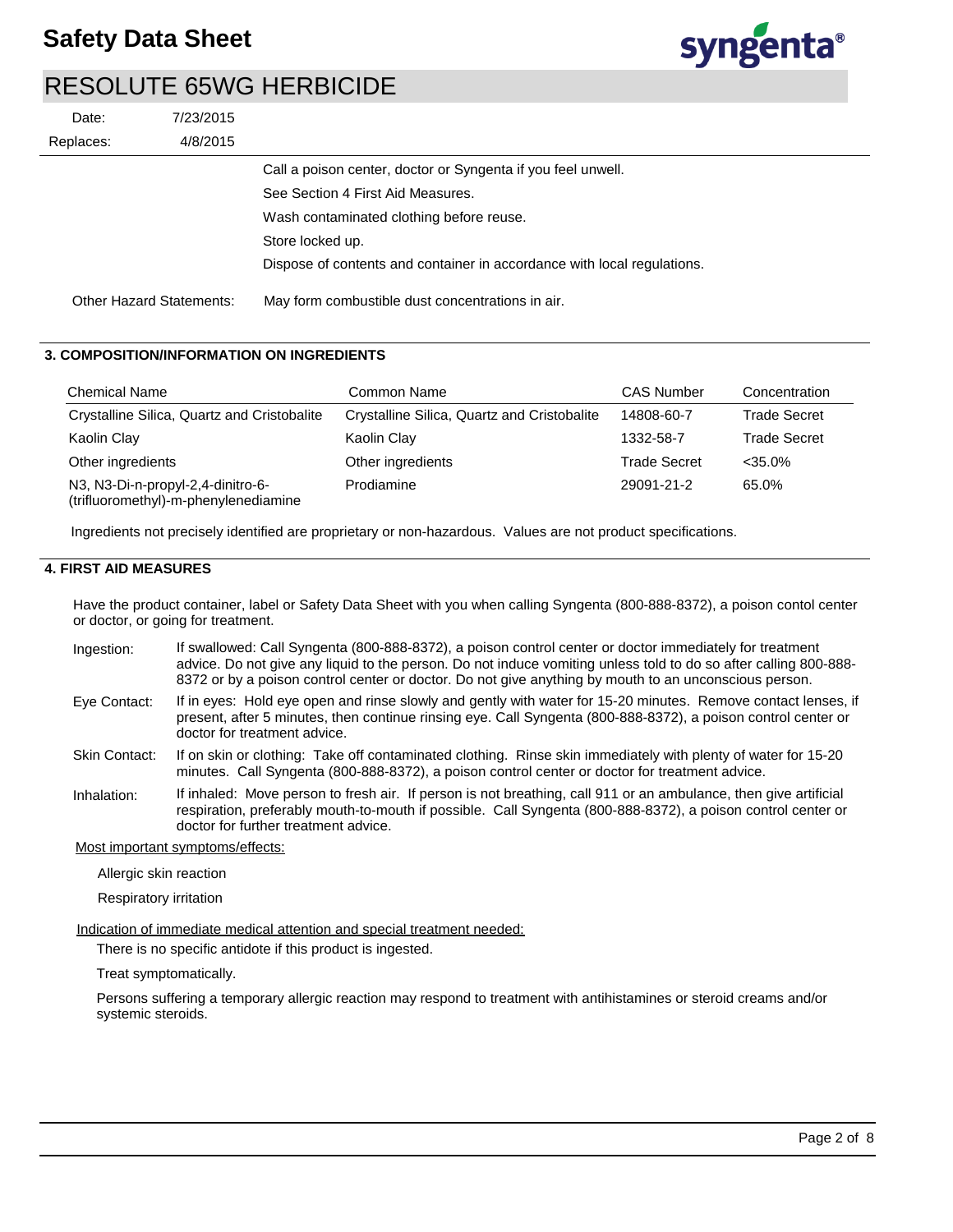

|           | 7/23/2015<br>Date:              |                                                                         |
|-----------|---------------------------------|-------------------------------------------------------------------------|
| Replaces: | 4/8/2015                        |                                                                         |
|           |                                 | Call a poison center, doctor or Syngenta if you feel unwell.            |
|           |                                 | See Section 4 First Aid Measures.                                       |
|           |                                 | Wash contaminated clothing before reuse.                                |
|           |                                 | Store locked up.                                                        |
|           |                                 | Dispose of contents and container in accordance with local regulations. |
|           | <b>Other Hazard Statements:</b> | May form combustible dust concentrations in air.                        |

### **3. COMPOSITION/INFORMATION ON INGREDIENTS**

| <b>Chemical Name</b>                                                      | Common Name                                 | <b>CAS Number</b>   | Concentration       |
|---------------------------------------------------------------------------|---------------------------------------------|---------------------|---------------------|
| Crystalline Silica, Quartz and Cristobalite                               | Crystalline Silica, Quartz and Cristobalite | 14808-60-7          | Trade Secret        |
| Kaolin Clay                                                               | Kaolin Clay                                 | 1332-58-7           | <b>Trade Secret</b> |
| Other ingredients                                                         | Other ingredients                           | <b>Trade Secret</b> | $<$ 35.0%           |
| N3, N3-Di-n-propyl-2,4-dinitro-6-<br>(trifluoromethyl)-m-phenylenediamine | Prodiamine                                  | 29091-21-2          | 65.0%               |

Ingredients not precisely identified are proprietary or non-hazardous. Values are not product specifications.

### **4. FIRST AID MEASURES**

Have the product container, label or Safety Data Sheet with you when calling Syngenta (800-888-8372), a poison contol center or doctor, or going for treatment.

- If swallowed: Call Syngenta (800-888-8372), a poison control center or doctor immediately for treatment advice. Do not give any liquid to the person. Do not induce vomiting unless told to do so after calling 800-888- 8372 or by a poison control center or doctor. Do not give anything by mouth to an unconscious person. Ingestion:
- If in eyes: Hold eye open and rinse slowly and gently with water for 15-20 minutes. Remove contact lenses, if present, after 5 minutes, then continue rinsing eye. Call Syngenta (800-888-8372), a poison control center or doctor for treatment advice. Eye Contact:
- If on skin or clothing: Take off contaminated clothing. Rinse skin immediately with plenty of water for 15-20 minutes. Call Syngenta (800-888-8372), a poison control center or doctor for treatment advice. Skin Contact:
- If inhaled: Move person to fresh air. If person is not breathing, call 911 or an ambulance, then give artificial respiration, preferably mouth-to-mouth if possible. Call Syngenta (800-888-8372), a poison control center or doctor for further treatment advice. Inhalation:

Most important symptoms/effects:

Allergic skin reaction

Respiratory irritation

Indication of immediate medical attention and special treatment needed:

There is no specific antidote if this product is ingested.

Treat symptomatically.

Persons suffering a temporary allergic reaction may respond to treatment with antihistamines or steroid creams and/or systemic steroids.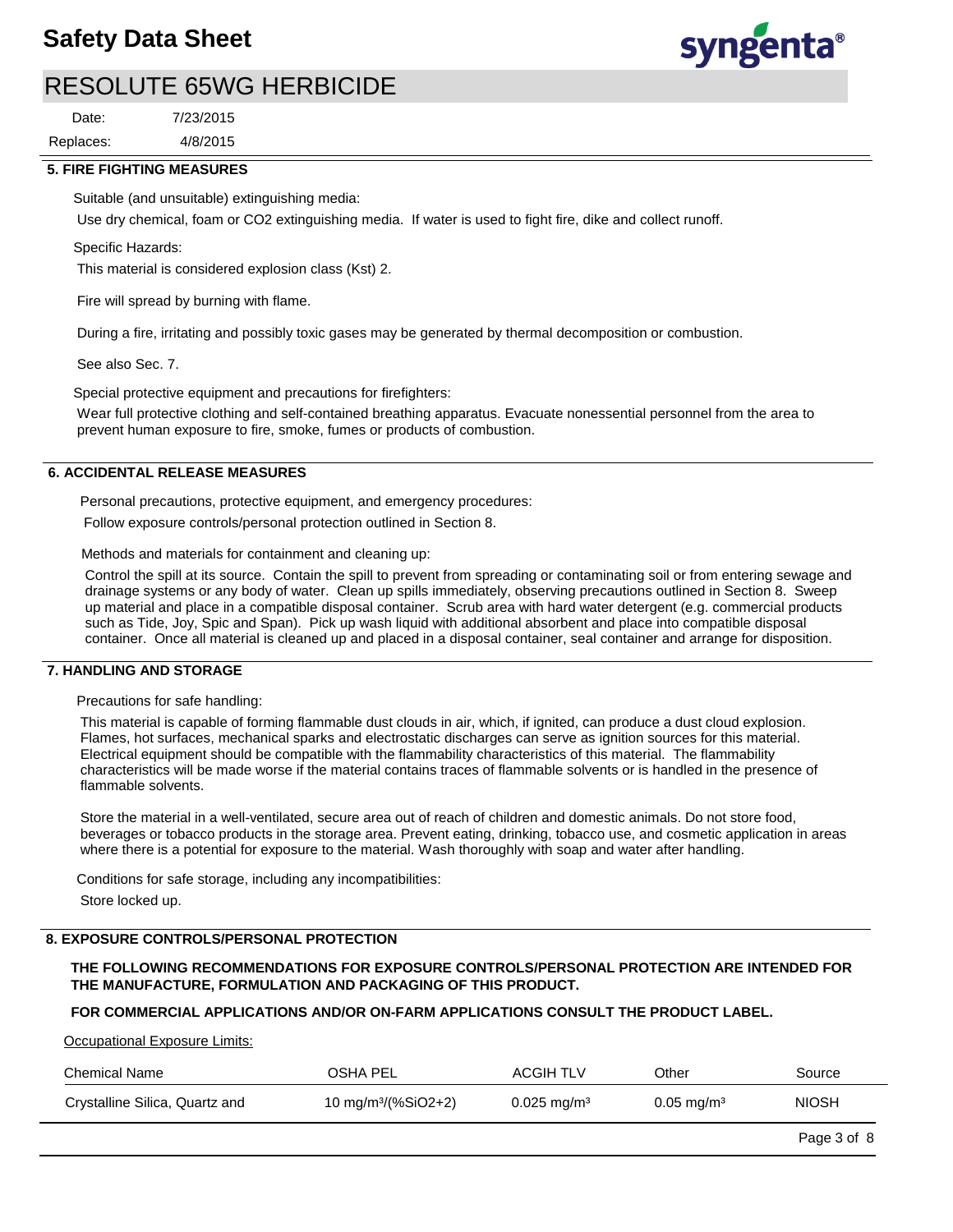

4/8/2015 7/23/2015 Replaces: Date:

### **5. FIRE FIGHTING MEASURES**

Suitable (and unsuitable) extinguishing media:

Use dry chemical, foam or CO2 extinguishing media. If water is used to fight fire, dike and collect runoff.

Specific Hazards:

This material is considered explosion class (Kst) 2.

Fire will spread by burning with flame.

During a fire, irritating and possibly toxic gases may be generated by thermal decomposition or combustion.

See also Sec. 7.

Special protective equipment and precautions for firefighters:

Wear full protective clothing and self-contained breathing apparatus. Evacuate nonessential personnel from the area to prevent human exposure to fire, smoke, fumes or products of combustion.

### **6. ACCIDENTAL RELEASE MEASURES**

Personal precautions, protective equipment, and emergency procedures:

Follow exposure controls/personal protection outlined in Section 8.

Methods and materials for containment and cleaning up:

Control the spill at its source. Contain the spill to prevent from spreading or contaminating soil or from entering sewage and drainage systems or any body of water. Clean up spills immediately, observing precautions outlined in Section 8. Sweep up material and place in a compatible disposal container. Scrub area with hard water detergent (e.g. commercial products such as Tide, Joy, Spic and Span). Pick up wash liquid with additional absorbent and place into compatible disposal container. Once all material is cleaned up and placed in a disposal container, seal container and arrange for disposition.

### **7. HANDLING AND STORAGE**

Precautions for safe handling:

This material is capable of forming flammable dust clouds in air, which, if ignited, can produce a dust cloud explosion. Flames, hot surfaces, mechanical sparks and electrostatic discharges can serve as ignition sources for this material. Electrical equipment should be compatible with the flammability characteristics of this material. The flammability characteristics will be made worse if the material contains traces of flammable solvents or is handled in the presence of flammable solvents.

Store the material in a well-ventilated, secure area out of reach of children and domestic animals. Do not store food, beverages or tobacco products in the storage area. Prevent eating, drinking, tobacco use, and cosmetic application in areas where there is a potential for exposure to the material. Wash thoroughly with soap and water after handling.

Conditions for safe storage, including any incompatibilities:

Store locked up.

### **8. EXPOSURE CONTROLS/PERSONAL PROTECTION**

**THE FOLLOWING RECOMMENDATIONS FOR EXPOSURE CONTROLS/PERSONAL PROTECTION ARE INTENDED FOR THE MANUFACTURE, FORMULATION AND PACKAGING OF THIS PRODUCT.** 

### **FOR COMMERCIAL APPLICATIONS AND/OR ON-FARM APPLICATIONS CONSULT THE PRODUCT LABEL.**

Occupational Exposure Limits:

| Chemical Name                  | OSHA PEL                        | <b>ACGIH TLV</b>       | Other                     | Source       |
|--------------------------------|---------------------------------|------------------------|---------------------------|--------------|
| Crystalline Silica, Quartz and | 10 mg/m <sup>3</sup> /(%SiO2+2) | $0.025 \text{ mg/m}^3$ | $0.05 \,\mathrm{mag/m^3}$ | <b>NIOSH</b> |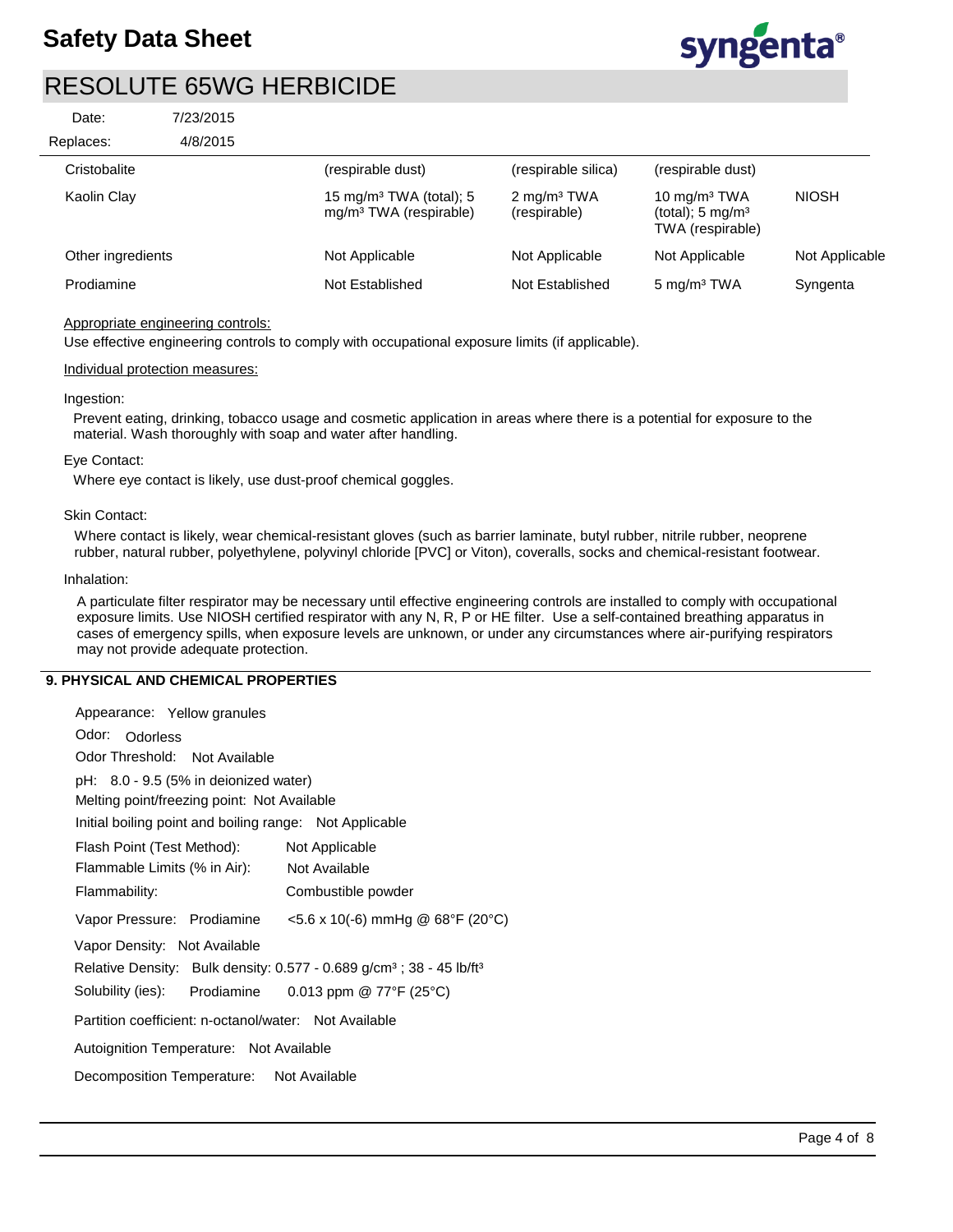

| Date:             | 7/23/2015 |                                                                           |                                         |                                                                   |                |
|-------------------|-----------|---------------------------------------------------------------------------|-----------------------------------------|-------------------------------------------------------------------|----------------|
| Replaces:         | 4/8/2015  |                                                                           |                                         |                                                                   |                |
| Cristobalite      |           | (respirable dust)                                                         | (respirable silica)                     | (respirable dust)                                                 |                |
| Kaolin Clay       |           | 15 mg/m <sup>3</sup> TWA (total); 5<br>mg/m <sup>3</sup> TWA (respirable) | 2 mg/m <sup>3</sup> TWA<br>(respirable) | 10 $mq/m3 TWA$<br>(total); $5 \text{ mg/m}^3$<br>TWA (respirable) | <b>NIOSH</b>   |
| Other ingredients |           | Not Applicable                                                            | Not Applicable                          | Not Applicable                                                    | Not Applicable |
| Prodiamine        |           | Not Established                                                           | Not Established                         | 5 mg/m <sup>3</sup> TWA                                           | Syngenta       |
|                   |           |                                                                           |                                         |                                                                   |                |

### Appropriate engineering controls:

Use effective engineering controls to comply with occupational exposure limits (if applicable).

#### Individual protection measures:

#### Ingestion:

Prevent eating, drinking, tobacco usage and cosmetic application in areas where there is a potential for exposure to the material. Wash thoroughly with soap and water after handling.

### Eye Contact:

Where eye contact is likely, use dust-proof chemical goggles.

#### Skin Contact:

Where contact is likely, wear chemical-resistant gloves (such as barrier laminate, butyl rubber, nitrile rubber, neoprene rubber, natural rubber, polyethylene, polyvinyl chloride [PVC] or Viton), coveralls, socks and chemical-resistant footwear.

#### Inhalation:

A particulate filter respirator may be necessary until effective engineering controls are installed to comply with occupational exposure limits. Use NIOSH certified respirator with any N, R, P or HE filter. Use a self-contained breathing apparatus in cases of emergency spills, when exposure levels are unknown, or under any circumstances where air-purifying respirators may not provide adequate protection.

### **9. PHYSICAL AND CHEMICAL PROPERTIES**

| Appearance: Yellow granules                                                                      |
|--------------------------------------------------------------------------------------------------|
| Odor: Odorless                                                                                   |
| Odor Threshold: Not Available                                                                    |
| pH: $8.0 - 9.5$ (5% in deionized water)                                                          |
| Melting point/freezing point: Not Available                                                      |
| Initial boiling point and boiling range: Not Applicable                                          |
| Flash Point (Test Method):<br>Not Applicable                                                     |
| Flammable Limits (% in Air):<br>Not Available                                                    |
| Flammability:<br>Combustible powder                                                              |
| $<$ 5.6 x 10(-6) mmHg @ 68°F (20°C)<br>Vapor Pressure: Prodiamine                                |
| Vapor Density: Not Available                                                                     |
| Relative Density: Bulk density: $0.577 - 0.689$ g/cm <sup>3</sup> ; $38 - 45$ lb/ft <sup>3</sup> |
| Solubility (ies): Prodiamine $0.013$ ppm $@$ 77°F (25°C)                                         |
| Partition coefficient: n-octanol/water: Not Available                                            |
| Autoignition Temperature: Not Available                                                          |
| Decomposition Temperature: Not Available                                                         |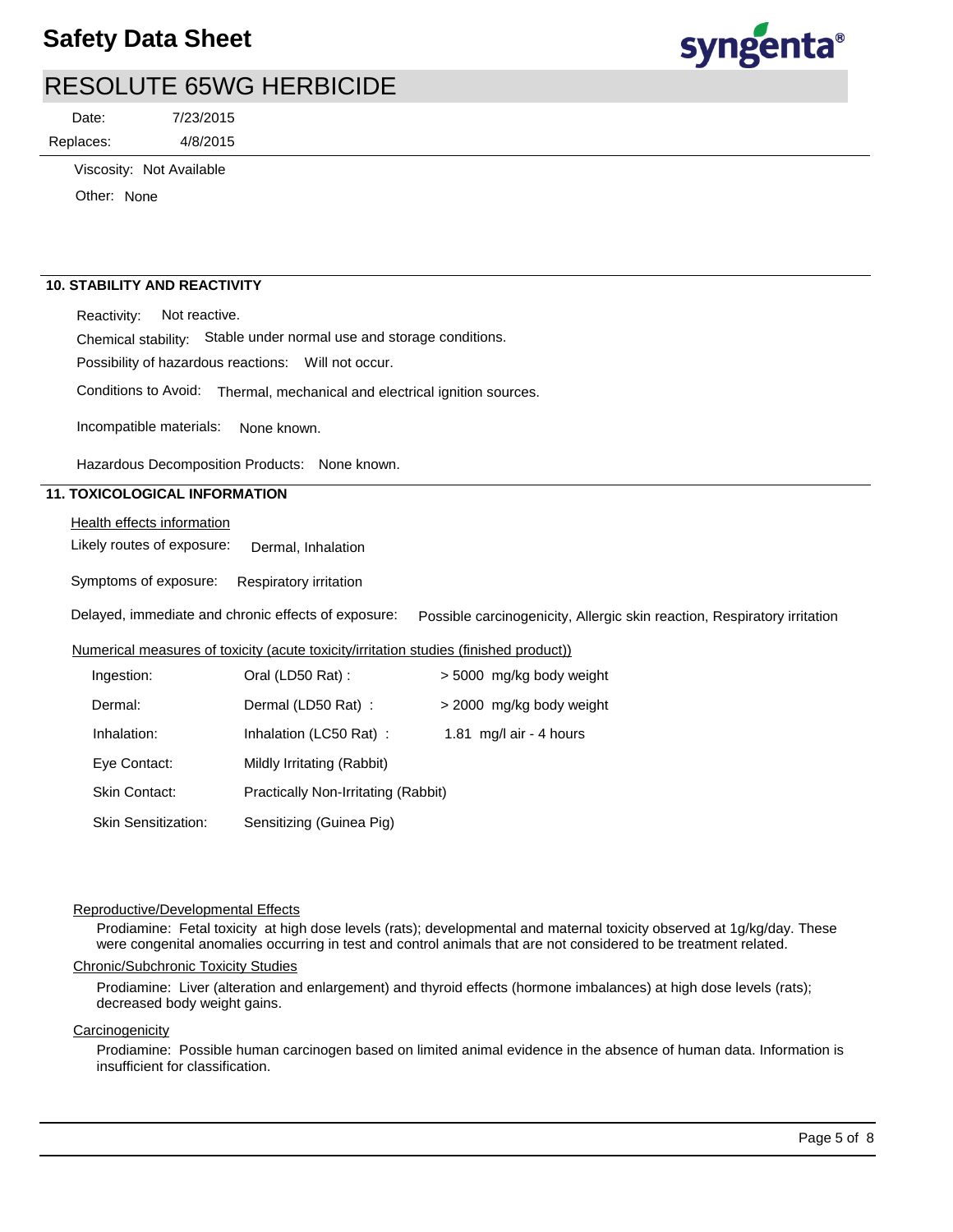

Replaces: Date:

4/8/2015 7/23/2015

Viscosity: Not Available

Other: None

### **10. STABILITY AND REACTIVITY**

Reactivity: Not reactive.

Chemical stability: Stable under normal use and storage conditions.

Possibility of hazardous reactions: Will not occur.

Conditions to Avoid: Thermal, mechanical and electrical ignition sources.

Incompatible materials: None known.

Hazardous Decomposition Products: None known.

### **11. TOXICOLOGICAL INFORMATION**

**Health effects information** 

Likely routes of exposure: Dermal, Inhalation

Symptoms of exposure: Respiratory irritation

Delayed, immediate and chronic effects of exposure: Possible carcinogenicity, Allergic skin reaction, Respiratory irritation

### Numerical measures of toxicity (acute toxicity/irritation studies (finished product))

| Ingestion:                 | Oral (LD50 Rat):                    | > 5000 mg/kg body weight |
|----------------------------|-------------------------------------|--------------------------|
| Dermal:                    | Dermal (LD50 Rat):                  | > 2000 mg/kg body weight |
| Inhalation:                | Inhalation (LC50 Rat):              | 1.81 mg/l air - 4 hours  |
| Eye Contact:               | Mildly Irritating (Rabbit)          |                          |
| Skin Contact:              | Practically Non-Irritating (Rabbit) |                          |
| <b>Skin Sensitization:</b> | Sensitizing (Guinea Pig)            |                          |

#### Reproductive/Developmental Effects

Prodiamine: Fetal toxicity at high dose levels (rats); developmental and maternal toxicity observed at 1g/kg/day. These were congenital anomalies occurring in test and control animals that are not considered to be treatment related.

#### Chronic/Subchronic Toxicity Studies

Prodiamine: Liver (alteration and enlargement) and thyroid effects (hormone imbalances) at high dose levels (rats); decreased body weight gains.

#### **Carcinogenicity**

Prodiamine: Possible human carcinogen based on limited animal evidence in the absence of human data. Information is insufficient for classification.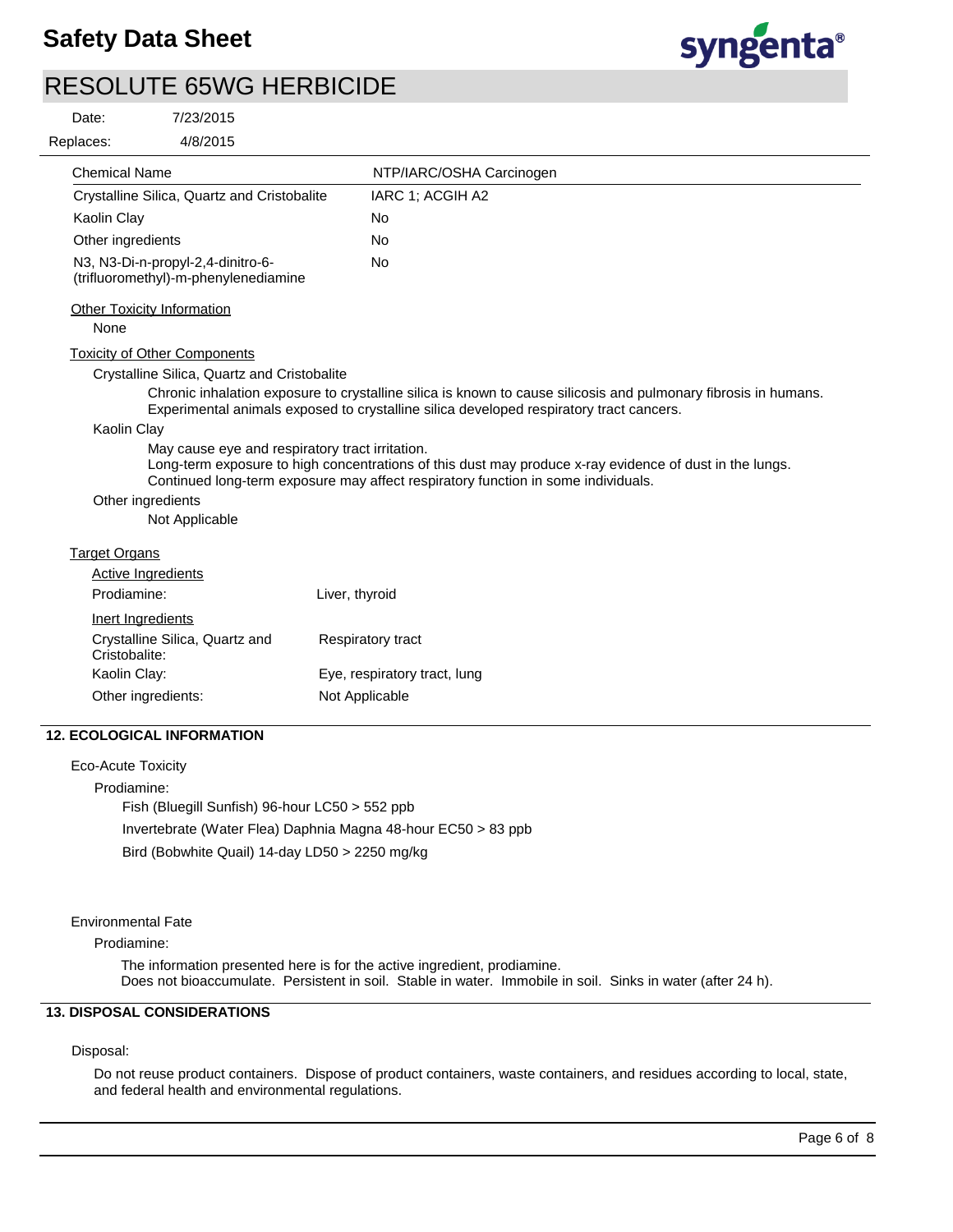

7/23/2015  $\mathsf{R}$ Date:

| 4/8/2015<br>Replaces:                                                     |                                                                                                                                                                                                            |
|---------------------------------------------------------------------------|------------------------------------------------------------------------------------------------------------------------------------------------------------------------------------------------------------|
| Chemical Name                                                             | NTP/IARC/OSHA Carcinogen                                                                                                                                                                                   |
| Crystalline Silica, Quartz and Cristobalite                               | IARC 1; ACGIH A2                                                                                                                                                                                           |
| Kaolin Clay                                                               | No                                                                                                                                                                                                         |
| Other ingredients                                                         | <b>No</b>                                                                                                                                                                                                  |
| N3, N3-Di-n-propyl-2,4-dinitro-6-<br>(trifluoromethyl)-m-phenylenediamine | <b>No</b>                                                                                                                                                                                                  |
| <b>Other Toxicity Information</b>                                         |                                                                                                                                                                                                            |
| None                                                                      |                                                                                                                                                                                                            |
| <b>Toxicity of Other Components</b>                                       |                                                                                                                                                                                                            |
| Crystalline Silica, Quartz and Cristobalite                               |                                                                                                                                                                                                            |
|                                                                           | Chronic inhalation exposure to crystalline silica is known to cause silicosis and pulmonary fibrosis in humans.<br>Experimental animals exposed to crystalline silica developed respiratory tract cancers. |
| Kaolin Clay                                                               |                                                                                                                                                                                                            |
| May cause eye and respiratory tract irritation.                           | Long-term exposure to high concentrations of this dust may produce x-ray evidence of dust in the lungs.<br>Continued long-term exposure may affect respiratory function in some individuals.               |
| Other ingredients                                                         |                                                                                                                                                                                                            |
| Not Applicable                                                            |                                                                                                                                                                                                            |
| <b>Target Organs</b>                                                      |                                                                                                                                                                                                            |
| <b>Active Ingredients</b>                                                 |                                                                                                                                                                                                            |
| Prodiamine:                                                               | Liver, thyroid                                                                                                                                                                                             |
| Inert Ingredients                                                         |                                                                                                                                                                                                            |
| Crystalline Silica, Quartz and<br>Cristobalite:                           | <b>Respiratory tract</b>                                                                                                                                                                                   |
| Kaolin Clay:                                                              | Eye, respiratory tract, lung                                                                                                                                                                               |
| Other ingredients:                                                        | Not Applicable                                                                                                                                                                                             |
| <b>12. ECOLOGICAL INFORMATION</b>                                         |                                                                                                                                                                                                            |
| <b>Eco-Acute Toxicity</b>                                                 |                                                                                                                                                                                                            |
| Prodiamine:                                                               |                                                                                                                                                                                                            |
| Fish (Bluegill Sunfish) 96-hour LC50 > 552 ppb                            |                                                                                                                                                                                                            |
| Invertebrate (Water Flea) Daphnia Magna 48-hour EC50 > 83 ppb             |                                                                                                                                                                                                            |
| Bird (Bobwhite Quail) 14-day LD50 > 2250 mg/kg                            |                                                                                                                                                                                                            |

Environmental Fate

Prodiamine:

The information presented here is for the active ingredient, prodiamine. Does not bioaccumulate. Persistent in soil. Stable in water. Immobile in soil. Sinks in water (after 24 h).

### **13. DISPOSAL CONSIDERATIONS**

Disposal:

Do not reuse product containers. Dispose of product containers, waste containers, and residues according to local, state, and federal health and environmental regulations.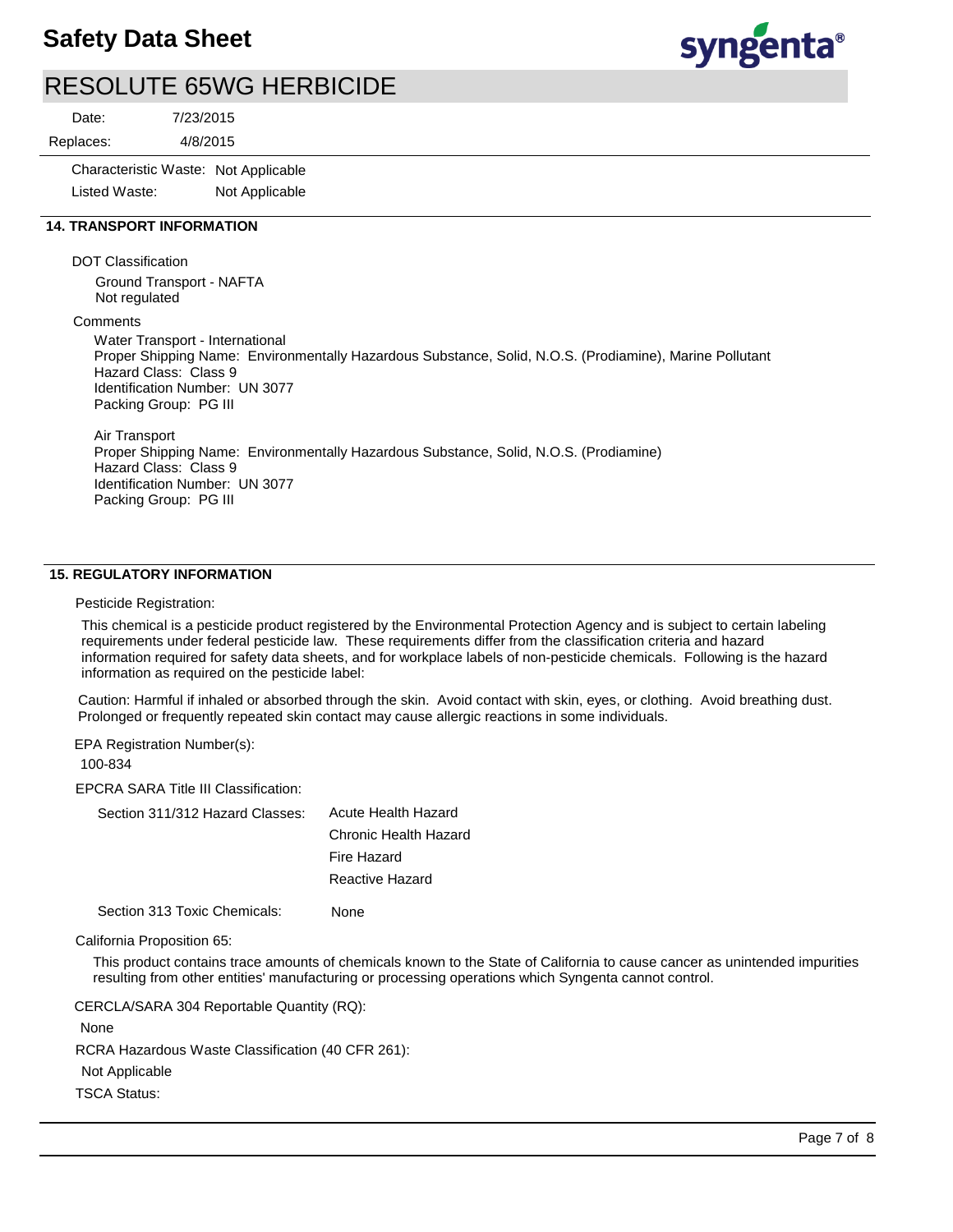## **Safety Data Sheet**



## RESOLUTE 65WG HERBICIDE

Date:

4/8/2015 7/23/2015 Replaces:

> Characteristic Waste: Not Applicable Listed Waste: Not Applicable

### **14. TRANSPORT INFORMATION**

DOT Classification

Ground Transport - NAFTA Not regulated

#### **Comments**

Water Transport - International Proper Shipping Name: Environmentally Hazardous Substance, Solid, N.O.S. (Prodiamine), Marine Pollutant Hazard Class: Class 9 Identification Number: UN 3077 Packing Group: PG III

Air Transport Proper Shipping Name: Environmentally Hazardous Substance, Solid, N.O.S. (Prodiamine) Hazard Class: Class 9 Identification Number: UN 3077 Packing Group: PG III

### **15. REGULATORY INFORMATION**

#### Pesticide Registration:

This chemical is a pesticide product registered by the Environmental Protection Agency and is subject to certain labeling requirements under federal pesticide law. These requirements differ from the classification criteria and hazard information required for safety data sheets, and for workplace labels of non-pesticide chemicals. Following is the hazard information as required on the pesticide label:

Caution: Harmful if inhaled or absorbed through the skin. Avoid contact with skin, eyes, or clothing. Avoid breathing dust. Prolonged or frequently repeated skin contact may cause allergic reactions in some individuals.

EPA Registration Number(s):

100-834

EPCRA SARA Title III Classification:

| Section 311/312 Hazard Classes: | Acute Health Hazard   |
|---------------------------------|-----------------------|
|                                 | Chronic Health Hazard |
|                                 | Fire Hazard           |
|                                 | Reactive Hazard       |

Section 313 Toxic Chemicals: None

#### California Proposition 65:

This product contains trace amounts of chemicals known to the State of California to cause cancer as unintended impurities resulting from other entities' manufacturing or processing operations which Syngenta cannot control.

RCRA Hazardous Waste Classification (40 CFR 261): Not Applicable TSCA Status: CERCLA/SARA 304 Reportable Quantity (RQ): None